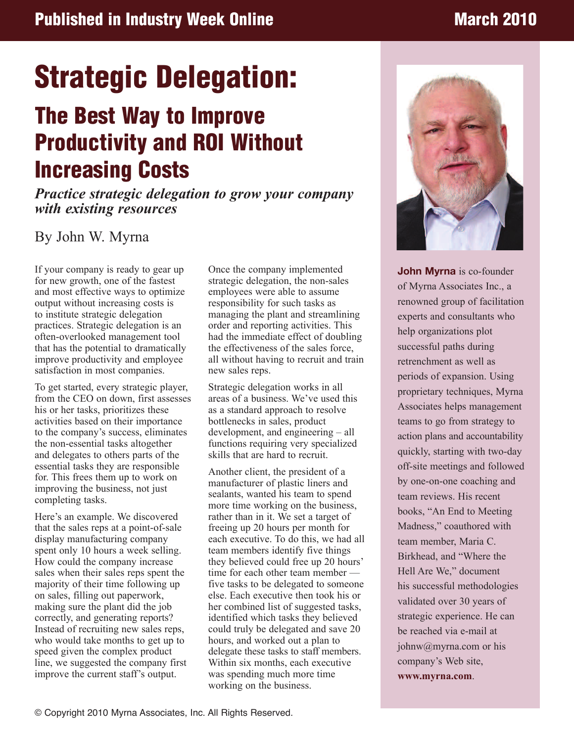# **Strategic Delegation:**

## **The Best Way to Improve Productivity and ROI Without Increasing Costs**

*Practice strategic delegation to grow your company with existing resources*

## By John W. Myrna

If your company is ready to gear up for new growth, one of the fastest and most effective ways to optimize output without increasing costs is to institute strategic delegation practices. Strategic delegation is an often-overlooked management tool that has the potential to dramatically improve productivity and employee satisfaction in most companies.

To get started, every strategic player, from the CEO on down, first assesses his or her tasks, prioritizes these activities based on their importance to the company's success, eliminates the non-essential tasks altogether and delegates to others parts of the essential tasks they are responsible for. This frees them up to work on improving the business, not just completing tasks.

Here's an example. We discovered that the sales reps at a point-of-sale display manufacturing company spent only 10 hours a week selling. How could the company increase sales when their sales reps spent the majority of their time following up on sales, filling out paperwork, making sure the plant did the job correctly, and generating reports? Instead of recruiting new sales reps, who would take months to get up to speed given the complex product line, we suggested the company first improve the current staff's output.

Once the company implemented strategic delegation, the non-sales employees were able to assume responsibility for such tasks as managing the plant and streamlining order and reporting activities. This had the immediate effect of doubling the effectiveness of the sales force, all without having to recruit and train new sales reps.

Strategic delegation works in all areas of a business. We've used this as a standard approach to resolve bottlenecks in sales, product development, and engineering – all functions requiring very specialized skills that are hard to recruit.

Another client, the president of a manufacturer of plastic liners and sealants, wanted his team to spend more time working on the business, rather than in it. We set a target of freeing up 20 hours per month for each executive. To do this, we had all team members identify five things they believed could free up 20 hours' time for each other team member five tasks to be delegated to someone else. Each executive then took his or her combined list of suggested tasks, identified which tasks they believed could truly be delegated and save 20 hours, and worked out a plan to delegate these tasks to staff members. Within six months, each executive was spending much more time working on the business.



**John Myrna** is co-founder of Myrna Associates Inc., a renowned group of facilitation experts and consultants who help organizations plot successful paths during retrenchment as well as periods of expansion. Using proprietary techniques, Myrna Associates helps management teams to go from strategy to action plans and accountability quickly, starting with two-day off-site meetings and followed by one-on-one coaching and team reviews. His recent books, "An End to Meeting Madness," coauthored with team member, Maria C. Birkhead, and "Where the Hell Are We," document his successful methodologies validated over 30 years of strategic experience. He can be reached via e-mail at johnw@myrna.com or his company's Web site, **www.myrna.com**.